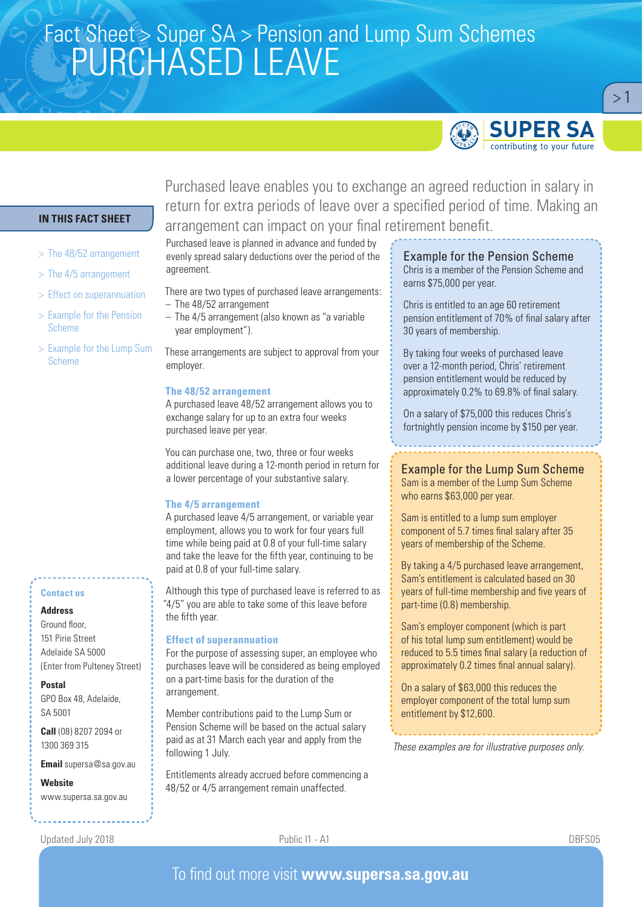# Fact Sheet > Super SA > Pension and Lump Sum Schemes<br>SANDO LA CED LEAVE PURCHASED LEAVE



 $>1$ 

## **IN THIS FACT SHEET**

- > The 48/52 arrangement
- > The 4/5 arrangement
- > Effect on superannuation
- > Example for the Pension Scheme
- > Example for the Lump Sum Scheme

#### **Contact us**

#### **Address**

Ground floor, 151 Pirie Street Adelaide SA 5000 (Enter from Pulteney Street)

#### **Postal**

GPO Box 48, Adelaide, SA 5001

**Call** (08) 8207 2094 or 1300 369 315

**Email** supersa@sa.gov.au

**Website** www.supersa.sa.gov.au Purchased leave enables you to exchange an agreed reduction in salary in return for extra periods of leave over a specified period of time. Making an arrangement can impact on your final retirement benefit.

Purchased leave is planned in advance and funded by evenly spread salary deductions over the period of the agreement.

There are two types of purchased leave arrangements: – The 48/52 arrangement

– The 4/5 arrangement (also known as "a variable year employment").

These arrangements are subject to approval from your employer.

#### **The 48/52 arrangement**

A purchased leave 48/52 arrangement allows you to exchange salary for up to an extra four weeks purchased leave per year.

You can purchase one, two, three or four weeks additional leave during a 12-month period in return for a lower percentage of your substantive salary.

#### **The 4/5 arrangement**

A purchased leave 4/5 arrangement, or variable year employment, allows you to work for four years full time while being paid at 0.8 of your full-time salary and take the leave for the fifth year, continuing to be paid at 0.8 of your full-time salary.

Although this type of purchased leave is referred to as "4/5" you are able to take some of this leave before the fifth year.

#### **Effect of superannuation**

For the purpose of assessing super, an employee who purchases leave will be considered as being employed on a part-time basis for the duration of the arrangement.

Member contributions paid to the Lump Sum or Pension Scheme will be based on the actual salary paid as at 31 March each year and apply from the following 1 July.

Entitlements already accrued before commencing a 48/52 or 4/5 arrangement remain unaffected.

# Example for the Pension Scheme

Chris is a member of the Pension Scheme and earns \$75,000 per year.

Chris is entitled to an age 60 retirement pension entitlement of 70% of final salary after 30 years of membership.

By taking four weeks of purchased leave over a 12-month period, Chris' retirement pension entitlement would be reduced by approximately 0.2% to 69.8% of final salary.

On a salary of \$75,000 this reduces Chris's fortnightly pension income by \$150 per year.

Example for the Lump Sum Scheme Sam is a member of the Lump Sum Scheme who earns \$63,000 per year.

Sam is entitled to a lump sum employer component of 5.7 times final salary after 35 years of membership of the Scheme.

By taking a 4/5 purchased leave arrangement, Sam's entitlement is calculated based on 30 years of full-time membership and five years of part-time (0.8) membership.

Sam's employer component (which is part of his total lump sum entitlement) would be reduced to 5.5 times final salary (a reduction of approximately 0.2 times final annual salary).

On a salary of \$63,000 this reduces the employer component of the total lump sum entitlement by \$12,600.

*These examples are for illustrative purposes only.*

Updated July 2018 Public I1 - A1 DBFS05